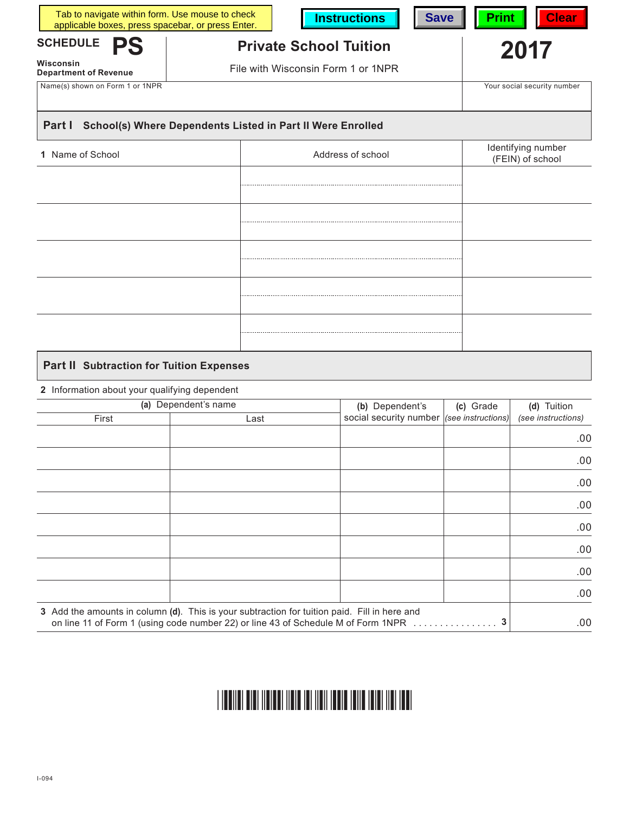| Tab to navigate within form. Use mouse to check<br>applicable boxes, press spacebar, or press Enter. | <b>Clear</b><br><b>Save</b><br><b>Print</b> |                               |                                        |  |  |  |  |
|------------------------------------------------------------------------------------------------------|---------------------------------------------|-------------------------------|----------------------------------------|--|--|--|--|
| <b>SCHEDULE</b><br><b>PS</b>                                                                         |                                             | <b>Private School Tuition</b> | 2017                                   |  |  |  |  |
| Wisconsin<br><b>Department of Revenue</b>                                                            | File with Wisconsin Form 1 or 1NPR          |                               |                                        |  |  |  |  |
| Name(s) shown on Form 1 or 1NPR                                                                      |                                             |                               | Your social security number            |  |  |  |  |
| Part I<br>School(s) Where Dependents Listed in Part II Were Enrolled                                 |                                             |                               |                                        |  |  |  |  |
| Name of School                                                                                       |                                             | Address of school             | Identifying number<br>(FEIN) of school |  |  |  |  |
|                                                                                                      |                                             |                               |                                        |  |  |  |  |
|                                                                                                      |                                             |                               |                                        |  |  |  |  |
|                                                                                                      |                                             |                               |                                        |  |  |  |  |
|                                                                                                      |                                             |                               |                                        |  |  |  |  |
|                                                                                                      |                                             |                               |                                        |  |  |  |  |
|                                                                                                      |                                             |                               |                                        |  |  |  |  |

# **Part II Subtraction for Tuition Expenses**

## **2** Information about your qualifying dependent

| (a) Dependent's name |                                                                                                                                                                                   | (b) Dependent's        | (c) Grade                  | (d) Tuition        |
|----------------------|-----------------------------------------------------------------------------------------------------------------------------------------------------------------------------------|------------------------|----------------------------|--------------------|
| First                | Last                                                                                                                                                                              | social security number | $ $ (see instructions) $ $ | (see instructions) |
|                      |                                                                                                                                                                                   |                        |                            | .00.               |
|                      |                                                                                                                                                                                   |                        |                            | .00.               |
|                      |                                                                                                                                                                                   |                        |                            | .00.               |
|                      |                                                                                                                                                                                   |                        |                            | .00.               |
|                      |                                                                                                                                                                                   |                        |                            | .00.               |
|                      |                                                                                                                                                                                   |                        |                            | .00.               |
|                      |                                                                                                                                                                                   |                        |                            | .00.               |
|                      |                                                                                                                                                                                   |                        |                            | .00.               |
|                      | 3 Add the amounts in column (d). This is your subtraction for tuition paid. Fill in here and<br>on line 11 of Form 1 (using code number 22) or line 43 of Schedule M of Form 1NPR |                        |                            | .00.               |

#